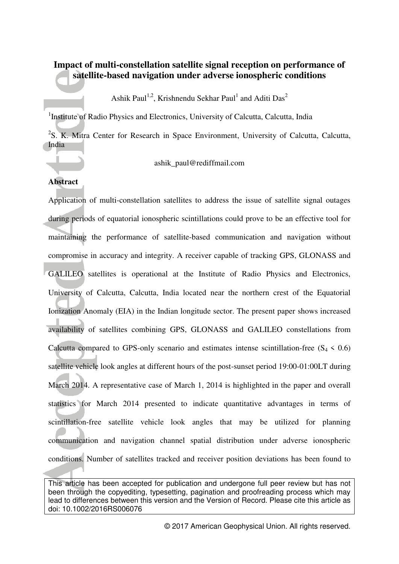# **Impact of multi-constellation satellite signal reception on performance of satellite-based navigation under adverse ionospheric conditions**

Ashik Paul<sup>1,2</sup>, Krishnendu Sekhar Paul<sup>1</sup> and Aditi Das<sup>2</sup>

<sup>1</sup>Institute of Radio Physics and Electronics, University of Calcutta, Calcutta, India

<sup>2</sup>S. K. Mitra Center for Research in Space Environment, University of Calcutta, Calcutta, India

ashik\_paul@rediffmail.com

## **Abstract**

Application of multi-constellation satellites to address the issue of satellite signal outages during periods of equatorial ionospheric scintillations could prove to be an effective tool for maintaining the performance of satellite-based communication and navigation without compromise in accuracy and integrity. A receiver capable of tracking GPS, GLONASS and GALILEO satellites is operational at the Institute of Radio Physics and Electronics, University of Calcutta, Calcutta, India located near the northern crest of the Equatorial Ionization Anomaly (EIA) in the Indian longitude sector. The present paper shows increased availability of satellites combining GPS, GLONASS and GALILEO constellations from Calcutta compared to GPS-only scenario and estimates intense scintillation-free  $(S_4 \le 0.6)$ satellite vehicle look angles at different hours of the post-sunset period 19:00-01:00LT during March 2014. A representative case of March 1, 2014 is highlighted in the paper and overall statistics for March 2014 presented to indicate quantitative advantages in terms of scintillation-free satellite vehicle look angles that may be utilized for planning communication and navigation channel spatial distribution under adverse ionospheric conditions. Number of satellites tracked and receiver position deviations has been found to

This article has been accepted for publication and undergone full peer review but has not been through the copyediting, typesetting, pagination and proofreading process which may lead to differences between this version and the Version of Record. Please cite this article as doi: 10.1002/2016RS006076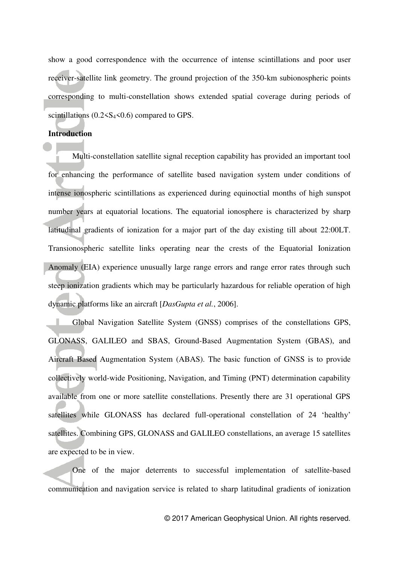show a good correspondence with the occurrence of intense scintillations and poor user receiver-satellite link geometry. The ground projection of the 350-km subionospheric points corresponding to multi-constellation shows extended spatial coverage during periods of scintillations  $(0.2 < S<sub>4</sub> < 0.6)$  compared to GPS.

#### **Introduction**

Multi-constellation satellite signal reception capability has provided an important tool for enhancing the performance of satellite based navigation system under conditions of intense ionospheric scintillations as experienced during equinoctial months of high sunspot number years at equatorial locations. The equatorial ionosphere is characterized by sharp latitudinal gradients of ionization for a major part of the day existing till about 22:00LT. Transionospheric satellite links operating near the crests of the Equatorial Ionization Anomaly (EIA) experience unusually large range errors and range error rates through such steep ionization gradients which may be particularly hazardous for reliable operation of high dynamic platforms like an aircraft [*DasGupta et al.*, 2006].

Global Navigation Satellite System (GNSS) comprises of the constellations GPS, GLONASS, GALILEO and SBAS, Ground-Based Augmentation System (GBAS), and Aircraft Based Augmentation System (ABAS). The basic function of GNSS is to provide collectively world-wide Positioning, Navigation, and Timing (PNT) determination capability available from one or more satellite constellations. Presently there are 31 operational GPS satellites while GLONASS has declared full-operational constellation of 24 'healthy' satellites. Combining GPS, GLONASS and GALILEO constellations, an average 15 satellites are expected to be in view.

One of the major deterrents to successful implementation of satellite-based communication and navigation service is related to sharp latitudinal gradients of ionization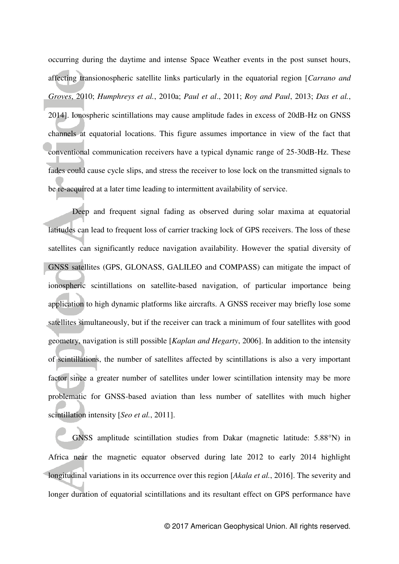occurring during the daytime and intense Space Weather events in the post sunset hours, affecting transionospheric satellite links particularly in the equatorial region [*Carrano and Groves*, 2010; *Humphreys et al.*, 2010a; *Paul et al*., 2011; *Roy and Paul*, 2013; *Das et al.*, 2014]. Ionospheric scintillations may cause amplitude fades in excess of 20dB-Hz on GNSS channels at equatorial locations. This figure assumes importance in view of the fact that conventional communication receivers have a typical dynamic range of 25-30dB-Hz. These fades could cause cycle slips, and stress the receiver to lose lock on the transmitted signals to be re-acquired at a later time leading to intermittent availability of service.

Deep and frequent signal fading as observed during solar maxima at equatorial latitudes can lead to frequent loss of carrier tracking lock of GPS receivers. The loss of these satellites can significantly reduce navigation availability. However the spatial diversity of GNSS satellites (GPS, GLONASS, GALILEO and COMPASS) can mitigate the impact of ionospheric scintillations on satellite-based navigation, of particular importance being application to high dynamic platforms like aircrafts. A GNSS receiver may briefly lose some satellites simultaneously, but if the receiver can track a minimum of four satellites with good geometry, navigation is still possible [*Kaplan and Hegarty*, 2006]. In addition to the intensity of scintillations, the number of satellites affected by scintillations is also a very important factor since a greater number of satellites under lower scintillation intensity may be more problematic for GNSS-based aviation than less number of satellites with much higher scintillation intensity [*Seo et al.*, 2011].

GNSS amplitude scintillation studies from Dakar (magnetic latitude: 5.88°N) in Africa near the magnetic equator observed during late 2012 to early 2014 highlight longitudinal variations in its occurrence over this region [*Akala et al.*, 2016]. The severity and longer duration of equatorial scintillations and its resultant effect on GPS performance have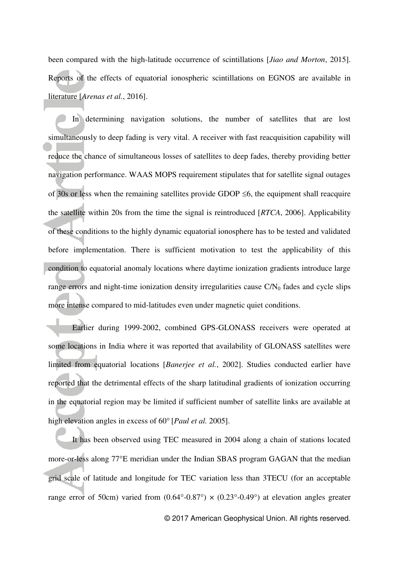been compared with the high-latitude occurrence of scintillations [*Jiao and Morton*, 2015]. Reports of the effects of equatorial ionospheric scintillations on EGNOS are available in literature [*Arenas et al.*, 2016].

In determining navigation solutions, the number of satellites that are lost simultaneously to deep fading is very vital. A receiver with fast reacquisition capability will reduce the chance of simultaneous losses of satellites to deep fades, thereby providing better navigation performance. WAAS MOPS requirement stipulates that for satellite signal outages of 30s or less when the remaining satellites provide GDOP  $\leq 6$ , the equipment shall reacquire the satellite within 20s from the time the signal is reintroduced [*RTCA*, 2006]. Applicability of these conditions to the highly dynamic equatorial ionosphere has to be tested and validated before implementation. There is sufficient motivation to test the applicability of this condition to equatorial anomaly locations where daytime ionization gradients introduce large range errors and night-time ionization density irregularities cause  $C/N_0$  fades and cycle slips more intense compared to mid-latitudes even under magnetic quiet conditions.

Earlier during 1999-2002, combined GPS-GLONASS receivers were operated at some locations in India where it was reported that availability of GLONASS satellites were limited from equatorial locations [*Banerjee et al.*, 2002]. Studies conducted earlier have reported that the detrimental effects of the sharp latitudinal gradients of ionization occurring in the equatorial region may be limited if sufficient number of satellite links are available at high elevation angles in excess of 60° [*Paul et al.* 2005].

 It has been observed using TEC measured in 2004 along a chain of stations located more-or-less along 77°E meridian under the Indian SBAS program GAGAN that the median grid scale of latitude and longitude for TEC variation less than 3TECU (for an acceptable range error of 50cm) varied from  $(0.64^{\circ} - 0.87^{\circ}) \times (0.23^{\circ} - 0.49^{\circ})$  at elevation angles greater

© 2017 American Geophysical Union. All rights reserved.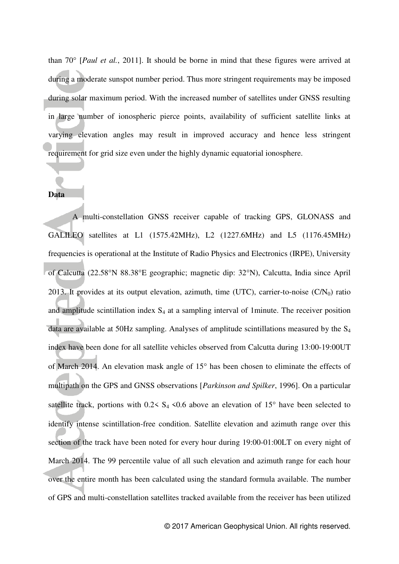than  $70^{\circ}$  [*Paul et al.*, 2011]. It should be borne in mind that these figures were arrived at during a moderate sunspot number period. Thus more stringent requirements may be imposed during solar maximum period. With the increased number of satellites under GNSS resulting in large number of ionospheric pierce points, availability of sufficient satellite links at varying elevation angles may result in improved accuracy and hence less stringent requirement for grid size even under the highly dynamic equatorial ionosphere.

#### **Data**

A multi-constellation GNSS receiver capable of tracking GPS, GLONASS and GALILEO satellites at L1 (1575.42MHz), L2 (1227.6MHz) and L5 (1176.45MHz) frequencies is operational at the Institute of Radio Physics and Electronics (IRPE), University of Calcutta (22.58°N 88.38°E geographic; magnetic dip: 32°N), Calcutta, India since April 2013. It provides at its output elevation, azimuth, time (UTC), carrier-to-noise  $(C/N_0)$  ratio and amplitude scintillation index  $S_4$  at a sampling interval of 1minute. The receiver position data are available at 50Hz sampling. Analyses of amplitude scintillations measured by the S<sup>4</sup> index have been done for all satellite vehicles observed from Calcutta during 13:00-19:00UT of March 2014. An elevation mask angle of 15° has been chosen to eliminate the effects of multipath on the GPS and GNSS observations [*Parkinson and Spilker*, 1996]. On a particular satellite track, portions with  $0.2 < S_4 < 0.6$  above an elevation of 15° have been selected to identify intense scintillation-free condition. Satellite elevation and azimuth range over this section of the track have been noted for every hour during 19:00-01:00LT on every night of March 2014. The 99 percentile value of all such elevation and azimuth range for each hour over the entire month has been calculated using the standard formula available. The number of GPS and multi-constellation satellites tracked available from the receiver has been utilized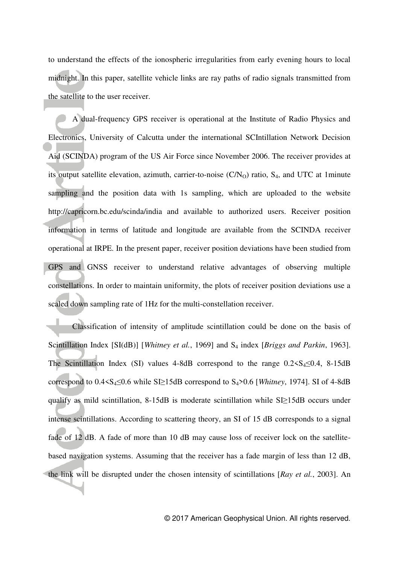to understand the effects of the ionospheric irregularities from early evening hours to local midnight. In this paper, satellite vehicle links are ray paths of radio signals transmitted from the satellite to the user receiver.

A dual-frequency GPS receiver is operational at the Institute of Radio Physics and Electronics, University of Calcutta under the international SCIntillation Network Decision Aid (SCINDA) program of the US Air Force since November 2006. The receiver provides at its output satellite elevation, azimuth, carrier-to-noise  $(C/N<sub>O</sub>)$  ratio,  $S<sub>4</sub>$ , and UTC at 1minute sampling and the position data with 1s sampling, which are uploaded to the website http://capricorn.bc.edu/scinda/india and available to authorized users. Receiver position information in terms of latitude and longitude are available from the SCINDA receiver operational at IRPE. In the present paper, receiver position deviations have been studied from GPS and GNSS receiver to understand relative advantages of observing multiple constellations. In order to maintain uniformity, the plots of receiver position deviations use a scaled down sampling rate of 1Hz for the multi-constellation receiver.

Classification of intensity of amplitude scintillation could be done on the basis of Scintillation Index [SI(dB)] [*Whitney et al.*, 1969] and S<sub>4</sub> index [*Briggs and Parkin*, 1963]. The Scintillation Index (SI) values 4-8dB correspond to the range  $0.2 \le S_4 \le 0.4$ , 8-15dB correspond to 0.4<S4≤0.6 while SI≥15dB correspond to S4>0.6 [*Whitney*, 1974]. SI of 4-8dB qualify as mild scintillation, 8-15dB is moderate scintillation while SI≥15dB occurs under intense scintillations. According to scattering theory, an SI of 15 dB corresponds to a signal fade of 12 dB. A fade of more than 10 dB may cause loss of receiver lock on the satellitebased navigation systems. Assuming that the receiver has a fade margin of less than 12 dB, the link will be disrupted under the chosen intensity of scintillations [*Ray et al.*, 2003]. An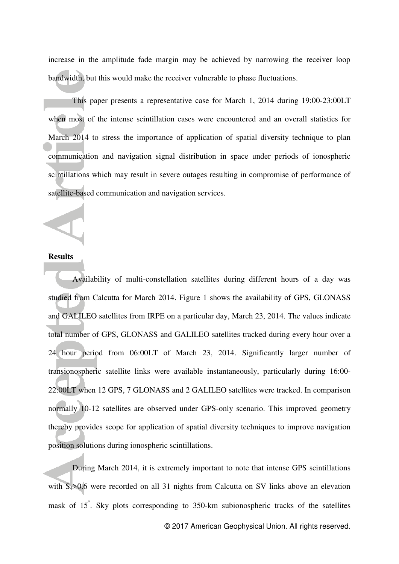increase in the amplitude fade margin may be achieved by narrowing the receiver loop bandwidth, but this would make the receiver vulnerable to phase fluctuations.

This paper presents a representative case for March 1, 2014 during 19:00-23:00LT when most of the intense scintillation cases were encountered and an overall statistics for March 2014 to stress the importance of application of spatial diversity technique to plan communication and navigation signal distribution in space under periods of ionospheric scintillations which may result in severe outages resulting in compromise of performance of satellite-based communication and navigation services.

#### **Results**

Availability of multi-constellation satellites during different hours of a day was studied from Calcutta for March 2014. Figure 1 shows the availability of GPS, GLONASS and GALILEO satellites from IRPE on a particular day, March 23, 2014. The values indicate total number of GPS, GLONASS and GALILEO satellites tracked during every hour over a 24 hour period from 06:00LT of March 23, 2014. Significantly larger number of transionospheric satellite links were available instantaneously, particularly during 16:00- 22:00LT when 12 GPS, 7 GLONASS and 2 GALILEO satellites were tracked. In comparison normally 10-12 satellites are observed under GPS-only scenario. This improved geometry thereby provides scope for application of spatial diversity techniques to improve navigation position solutions during ionospheric scintillations.

 During March 2014, it is extremely important to note that intense GPS scintillations with S<sub>4</sub>>0.6 were recorded on all 31 nights from Calcutta on SV links above an elevation mask of 15 . Sky plots corresponding to 350-km subionospheric tracks of the satellites

© 2017 American Geophysical Union. All rights reserved.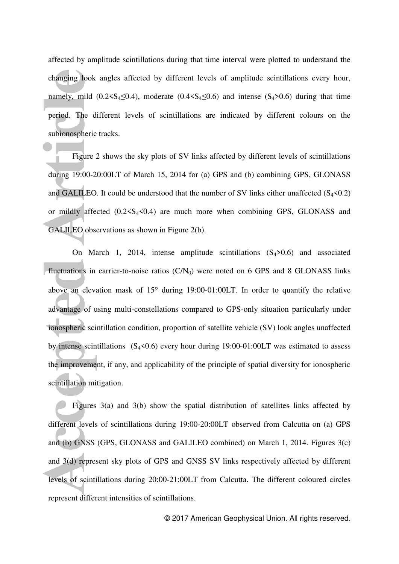affected by amplitude scintillations during that time interval were plotted to understand the changing look angles affected by different levels of amplitude scintillations every hour, namely, mild  $(0.2 \le S_4 \le 0.4)$ , moderate  $(0.4 \le S_4 \le 0.6)$  and intense  $(S_4 > 0.6)$  during that time period. The different levels of scintillations are indicated by different colours on the subionospheric tracks.

Figure 2 shows the sky plots of SV links affected by different levels of scintillations during 19:00-20:00LT of March 15, 2014 for (a) GPS and (b) combining GPS, GLONASS and GALILEO. It could be understood that the number of SV links either unaffected  $(S_4<0.2)$ or mildly affected  $(0.2 \le S_4 \le 0.4)$  are much more when combining GPS, GLONASS and GALILEO observations as shown in Figure 2(b).

On March 1, 2014, intense amplitude scintillations  $(S_4>0.6)$  and associated fluctuations in carrier-to-noise ratios  $(C/N_0)$  were noted on 6 GPS and 8 GLONASS links above an elevation mask of  $15^{\circ}$  during 19:00-01:00LT. In order to quantify the relative advantage of using multi-constellations compared to GPS-only situation particularly under ionospheric scintillation condition, proportion of satellite vehicle (SV) look angles unaffected by intense scintillations  $(S_4<0.6)$  every hour during 19:00-01:00LT was estimated to assess the improvement, if any, and applicability of the principle of spatial diversity for ionospheric scintillation mitigation.

Figures 3(a) and 3(b) show the spatial distribution of satellites links affected by different levels of scintillations during 19:00-20:00LT observed from Calcutta on (a) GPS and (b) GNSS (GPS, GLONASS and GALILEO combined) on March 1, 2014. Figures 3(c) and 3(d) represent sky plots of GPS and GNSS SV links respectively affected by different levels of scintillations during 20:00-21:00LT from Calcutta. The different coloured circles represent different intensities of scintillations.

© 2017 American Geophysical Union. All rights reserved.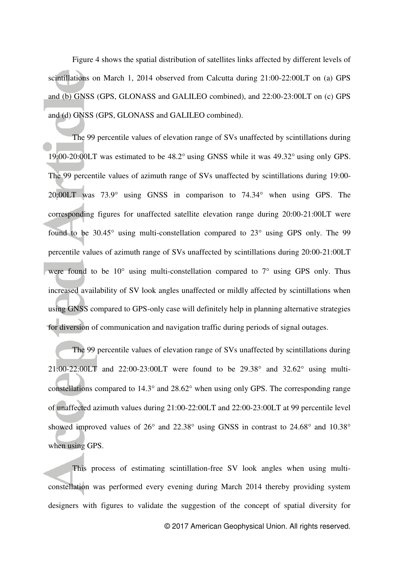Figure 4 shows the spatial distribution of satellites links affected by different levels of scintillations on March 1, 2014 observed from Calcutta during 21:00-22:00LT on (a) GPS and (b) GNSS (GPS, GLONASS and GALILEO combined), and 22:00-23:00LT on (c) GPS and (d) GNSS (GPS, GLONASS and GALILEO combined).

The 99 percentile values of elevation range of SVs unaffected by scintillations during 19:00-20:00LT was estimated to be  $48.2^{\circ}$  using GNSS while it was  $49.32^{\circ}$  using only GPS. The 99 percentile values of azimuth range of SVs unaffected by scintillations during 19:00-  $20:00LT$  was  $73.9^{\circ}$  using GNSS in comparison to  $74.34^{\circ}$  when using GPS. The corresponding figures for unaffected satellite elevation range during 20:00-21:00LT were found to be  $30.45^{\circ}$  using multi-constellation compared to  $23^{\circ}$  using GPS only. The 99 percentile values of azimuth range of SVs unaffected by scintillations during 20:00-21:00LT were found to be  $10^{\circ}$  using multi-constellation compared to  $7^{\circ}$  using GPS only. Thus increased availability of SV look angles unaffected or mildly affected by scintillations when using GNSS compared to GPS-only case will definitely help in planning alternative strategies for diversion of communication and navigation traffic during periods of signal outages.

The 99 percentile values of elevation range of SVs unaffected by scintillations during 21:00-22:00LT and 22:00-23:00LT were found to be  $29.38^{\circ}$  and  $32.62^{\circ}$  using multiconstellations compared to  $14.3^{\circ}$  and  $28.62^{\circ}$  when using only GPS. The corresponding range of unaffected azimuth values during 21:00-22:00LT and 22:00-23:00LT at 99 percentile level showed improved values of  $26^{\circ}$  and  $22.38^{\circ}$  using GNSS in contrast to  $24.68^{\circ}$  and  $10.38^{\circ}$ when using GPS.

This process of estimating scintillation-free SV look angles when using multiconstellation was performed every evening during March 2014 thereby providing system designers with figures to validate the suggestion of the concept of spatial diversity for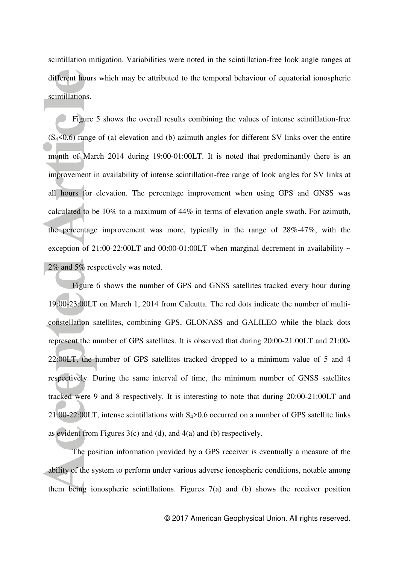scintillation mitigation. Variabilities were noted in the scintillation-free look angle ranges at different hours which may be attributed to the temporal behaviour of equatorial ionospheric scintillations.

Figure 5 shows the overall results combining the values of intense scintillation-free  $(S_4<0.6)$  range of (a) elevation and (b) azimuth angles for different SV links over the entire month of March 2014 during 19:00-01:00LT. It is noted that predominantly there is an improvement in availability of intense scintillation-free range of look angles for SV links at all hours for elevation. The percentage improvement when using GPS and GNSS was calculated to be 10% to a maximum of 44% in terms of elevation angle swath. For azimuth, the percentage improvement was more, typically in the range of 28%-47%, with the exception of 21:00-22:00LT and 00:00-01:00LT when marginal decrement in availability  $\sim$ 2% and 5% respectively was noted.

 Figure 6 shows the number of GPS and GNSS satellites tracked every hour during 19:00-23:00LT on March 1, 2014 from Calcutta. The red dots indicate the number of multiconstellation satellites, combining GPS, GLONASS and GALILEO while the black dots represent the number of GPS satellites. It is observed that during 20:00-21:00LT and 21:00- 22:00LT, the number of GPS satellites tracked dropped to a minimum value of 5 and 4 respectively. During the same interval of time, the minimum number of GNSS satellites tracked were 9 and 8 respectively. It is interesting to note that during 20:00-21:00LT and 21:00-22:00LT, intense scintillations with  $S_4$ >0.6 occurred on a number of GPS satellite links as evident from Figures  $3(c)$  and (d), and  $4(a)$  and (b) respectively.

 The position information provided by a GPS receiver is eventually a measure of the ability of the system to perform under various adverse ionospheric conditions, notable among them being ionospheric scintillations. Figures 7(a) and (b) shows the receiver position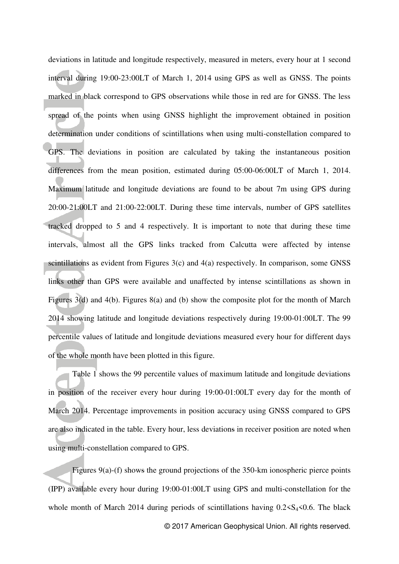deviations in latitude and longitude respectively, measured in meters, every hour at 1 second interval during 19:00-23:00LT of March 1, 2014 using GPS as well as GNSS. The points marked in black correspond to GPS observations while those in red are for GNSS. The less spread of the points when using GNSS highlight the improvement obtained in position determination under conditions of scintillations when using multi-constellation compared to GPS. The deviations in position are calculated by taking the instantaneous position differences from the mean position, estimated during 05:00-06:00LT of March 1, 2014. Maximum latitude and longitude deviations are found to be about 7m using GPS during 20:00-21:00LT and 21:00-22:00LT. During these time intervals, number of GPS satellites tracked dropped to 5 and 4 respectively. It is important to note that during these time intervals, almost all the GPS links tracked from Calcutta were affected by intense scintillations as evident from Figures 3(c) and 4(a) respectively. In comparison, some GNSS links other than GPS were available and unaffected by intense scintillations as shown in Figures 3(d) and 4(b). Figures 8(a) and (b) show the composite plot for the month of March 2014 showing latitude and longitude deviations respectively during 19:00-01:00LT. The 99 percentile values of latitude and longitude deviations measured every hour for different days of the whole month have been plotted in this figure.

 Table 1 shows the 99 percentile values of maximum latitude and longitude deviations in position of the receiver every hour during 19:00-01:00LT every day for the month of March 2014. Percentage improvements in position accuracy using GNSS compared to GPS are also indicated in the table. Every hour, less deviations in receiver position are noted when using multi-constellation compared to GPS.

 Figures 9(a)-(f) shows the ground projections of the 350-km ionospheric pierce points (IPP) available every hour during 19:00-01:00LT using GPS and multi-constellation for the whole month of March 2014 during periods of scintillations having  $0.2 \leq S_4 \leq 0.6$ . The black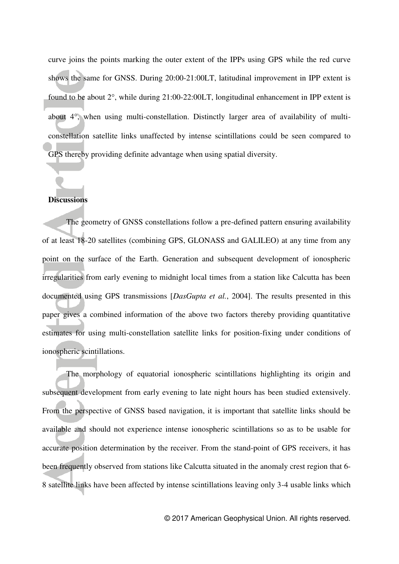curve joins the points marking the outer extent of the IPPs using GPS while the red curve shows the same for GNSS. During 20:00-21:00LT, latitudinal improvement in IPP extent is found to be about  $2^{\circ}$ , while during 21:00-22:00LT, longitudinal enhancement in IPP extent is about  $4^\circ$ , when using multi-constellation. Distinctly larger area of availability of multiconstellation satellite links unaffected by intense scintillations could be seen compared to GPS thereby providing definite advantage when using spatial diversity.

#### **Discussions**

The geometry of GNSS constellations follow a pre-defined pattern ensuring availability of at least 18-20 satellites (combining GPS, GLONASS and GALILEO) at any time from any point on the surface of the Earth. Generation and subsequent development of ionospheric irregularities from early evening to midnight local times from a station like Calcutta has been documented using GPS transmissions [*DasGupta et al.*, 2004]. The results presented in this paper gives a combined information of the above two factors thereby providing quantitative estimates for using multi-constellation satellite links for position-fixing under conditions of ionospheric scintillations.

The morphology of equatorial ionospheric scintillations highlighting its origin and subsequent development from early evening to late night hours has been studied extensively. From the perspective of GNSS based navigation, it is important that satellite links should be available and should not experience intense ionospheric scintillations so as to be usable for accurate position determination by the receiver. From the stand-point of GPS receivers, it has been frequently observed from stations like Calcutta situated in the anomaly crest region that 6- 8 satellite links have been affected by intense scintillations leaving only 3-4 usable links which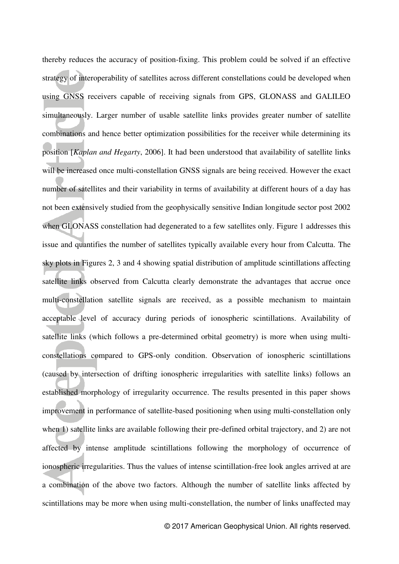thereby reduces the accuracy of position-fixing. This problem could be solved if an effective strategy of interoperability of satellites across different constellations could be developed when using GNSS receivers capable of receiving signals from GPS, GLONASS and GALILEO simultaneously. Larger number of usable satellite links provides greater number of satellite combinations and hence better optimization possibilities for the receiver while determining its position [*Kaplan and Hegarty*, 2006]. It had been understood that availability of satellite links will be increased once multi-constellation GNSS signals are being received. However the exact number of satellites and their variability in terms of availability at different hours of a day has not been extensively studied from the geophysically sensitive Indian longitude sector post 2002 when GLONASS constellation had degenerated to a few satellites only. Figure 1 addresses this issue and quantifies the number of satellites typically available every hour from Calcutta. The sky plots in Figures 2, 3 and 4 showing spatial distribution of amplitude scintillations affecting satellite links observed from Calcutta clearly demonstrate the advantages that accrue once multi-constellation satellite signals are received, as a possible mechanism to maintain acceptable level of accuracy during periods of ionospheric scintillations. Availability of satellite links (which follows a pre-determined orbital geometry) is more when using multiconstellations compared to GPS-only condition. Observation of ionospheric scintillations (caused by intersection of drifting ionospheric irregularities with satellite links) follows an established morphology of irregularity occurrence. The results presented in this paper shows improvement in performance of satellite-based positioning when using multi-constellation only when 1) satellite links are available following their pre-defined orbital trajectory, and 2) are not affected by intense amplitude scintillations following the morphology of occurrence of ionospheric irregularities. Thus the values of intense scintillation-free look angles arrived at are a combination of the above two factors. Although the number of satellite links affected by scintillations may be more when using multi-constellation, the number of links unaffected may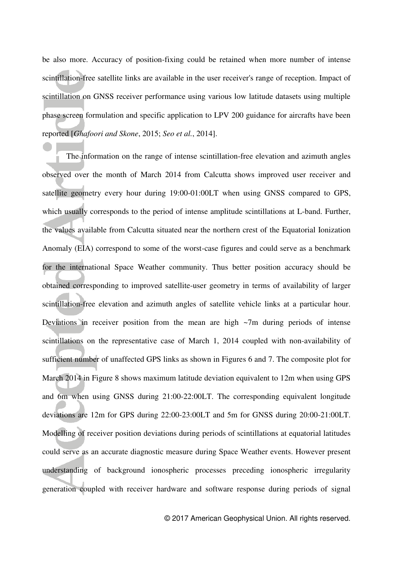be also more. Accuracy of position-fixing could be retained when more number of intense scintillation-free satellite links are available in the user receiver's range of reception. Impact of scintillation on GNSS receiver performance using various low latitude datasets using multiple phase screen formulation and specific application to LPV 200 guidance for aircrafts have been reported [*Ghafoori and Skone*, 2015; *Seo et al.*, 2014].

The information on the range of intense scintillation-free elevation and azimuth angles observed over the month of March 2014 from Calcutta shows improved user receiver and satellite geometry every hour during 19:00-01:00LT when using GNSS compared to GPS, which usually corresponds to the period of intense amplitude scintillations at L-band. Further, the values available from Calcutta situated near the northern crest of the Equatorial Ionization Anomaly (EIA) correspond to some of the worst-case figures and could serve as a benchmark for the international Space Weather community. Thus better position accuracy should be obtained corresponding to improved satellite-user geometry in terms of availability of larger scintillation-free elevation and azimuth angles of satellite vehicle links at a particular hour. Deviations in receiver position from the mean are high  $\sim$ 7m during periods of intense scintillations on the representative case of March 1, 2014 coupled with non-availability of sufficient number of unaffected GPS links as shown in Figures 6 and 7. The composite plot for March 2014 in Figure 8 shows maximum latitude deviation equivalent to 12m when using GPS and 6m when using GNSS during 21:00-22:00LT. The corresponding equivalent longitude deviations are 12m for GPS during 22:00-23:00LT and 5m for GNSS during 20:00-21:00LT. Modelling of receiver position deviations during periods of scintillations at equatorial latitudes could serve as an accurate diagnostic measure during Space Weather events. However present understanding of background ionospheric processes preceding ionospheric irregularity generation coupled with receiver hardware and software response during periods of signal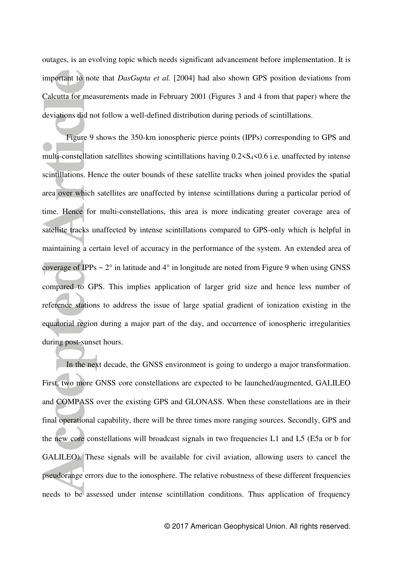outages, is an evolving topic which needs significant advancement before implementation. It is important to note that *DasGupta et al.* [2004] had also shown GPS position deviations from Calcutta for measurements made in February 2001 (Figures 3 and 4 from that paper) where the deviations did not follow a well-defined distribution during periods of scintillations.

Figure 9 shows the 350-km ionospheric pierce points (IPPs) corresponding to GPS and multi-constellation satellites showing scintillations having  $0.2 \le S_4 \le 0.6$  i.e. unaffected by intense scintillations. Hence the outer bounds of these satellite tracks when joined provides the spatial area over which satellites are unaffected by intense scintillations during a particular period of time. Hence for multi-constellations, this area is more indicating greater coverage area of satellite tracks unaffected by intense scintillations compared to GPS-only which is helpful in maintaining a certain level of accuracy in the performance of the system. An extended area of coverage of IPPs  $\sim 2^{\circ}$  in latitude and 4 $^{\circ}$  in longitude are noted from Figure 9 when using GNSS compared to GPS. This implies application of larger grid size and hence less number of reference stations to address the issue of large spatial gradient of ionization existing in the equatorial region during a major part of the day, and occurrence of ionospheric irregularities during post-sunset hours.

In the next decade, the GNSS environment is going to undergo a major transformation. First, two more GNSS core constellations are expected to be launched/augmented, GALILEO and COMPASS over the existing GPS and GLONASS. When these constellations are in their final operational capability, there will be three times more ranging sources. Secondly, GPS and the new core constellations will broadcast signals in two frequencies L1 and L5 (E5a or b for GALILEO). These signals will be available for civil aviation, allowing users to cancel the pseudorange errors due to the ionosphere. The relative robustness of these different frequencies needs to be assessed under intense scintillation conditions. Thus application of frequency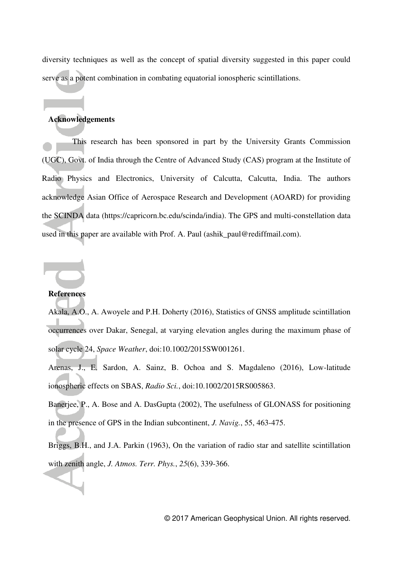diversity techniques as well as the concept of spatial diversity suggested in this paper could serve as a potent combination in combating equatorial ionospheric scintillations.

### **Acknowledgements**

This research has been sponsored in part by the University Grants Commission (UGC), Govt. of India through the Centre of Advanced Study (CAS) program at the Institute of Radio Physics and Electronics, University of Calcutta, Calcutta, India. The authors acknowledge Asian Office of Aerospace Research and Development (AOARD) for providing the SCINDA data (https://capricorn.bc.edu/scinda/india). The GPS and multi-constellation data used in this paper are available with Prof. A. Paul (ashik paul@rediffmail.com).

#### **References**

Akala, A.O., A. Awoyele and P.H. Doherty (2016), Statistics of GNSS amplitude scintillation occurrences over Dakar, Senegal, at varying elevation angles during the maximum phase of solar cycle 24, *Space Weather*, doi:10.1002/2015SW001261.

Arenas, J., E. Sardon, A. Sainz, B. Ochoa and S. Magdaleno (2016), Low-latitude ionospheric effects on SBAS, *Radio Sci.*, doi:10.1002/2015RS005863.

Banerjee, P., A. Bose and A. DasGupta (2002), The usefulness of GLONASS for positioning in the presence of GPS in the Indian subcontinent, *J. Navig.*, 55, 463-475.

Briggs, B.H., and J.A. Parkin (1963), On the variation of radio star and satellite scintillation with zenith angle, *J. Atmos. Terr. Phys.*, *25*(6), 339-366.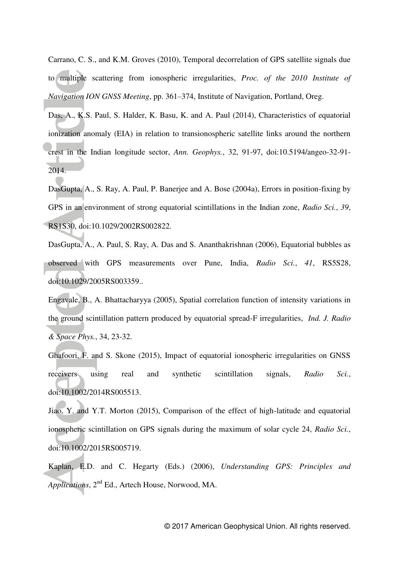Carrano, C. S., and K.M. Groves (2010), Temporal decorrelation of GPS satellite signals due to multiple scattering from ionospheric irregularities, *Proc. of the 2010 Institute of Navigation ION GNSS Meeting*, pp. 361–374, Institute of Navigation, Portland, Oreg.

Das, A., K.S. Paul, S. Halder, K. Basu, K. and A. Paul (2014), Characteristics of equatorial ionization anomaly (EIA) in relation to transionospheric satellite links around the northern crest in the Indian longitude sector, *Ann. Geophys.*, 32, 91-97, doi:10.5194/angeo-32-91- 2014.

DasGupta, A., S. Ray, A. Paul, P. Banerjee and A. Bose (2004a), Errors in position-fixing by GPS in an environment of strong equatorial scintillations in the Indian zone, *Radio Sci.*, *39*, RS1S30, doi:10.1029/2002RS002822.

DasGupta, A., A. Paul, S. Ray, A. Das and S. Ananthakrishnan (2006), Equatorial bubbles as observed with GPS measurements over Pune, India, *Radio Sci.*, *41*, RS5S28, doi:10.1029/2005RS003359..

Engavale, B., A. Bhattacharyya (2005), Spatial correlation function of intensity variations in the ground scintillation pattern produced by equatorial spread-F irregularities, *Ind. J. Radio & Space Phys.*, 34, 23-32.

Ghafoori, F. and S. Skone (2015), Impact of equatorial ionospheric irregularities on GNSS receivers using real and synthetic scintillation signals, *Radio Sci.*, doi:10.1002/2014RS005513.

Jiao, Y. and Y.T. Morton (2015), Comparison of the effect of high-latitude and equatorial ionospheric scintillation on GPS signals during the maximum of solar cycle 24, *Radio Sci.*, doi:10.1002/2015RS005719.

Kaplan, E.D. and C. Hegarty (Eds.) (2006), *Understanding GPS: Principles and Applications*, 2nd Ed., Artech House, Norwood, MA.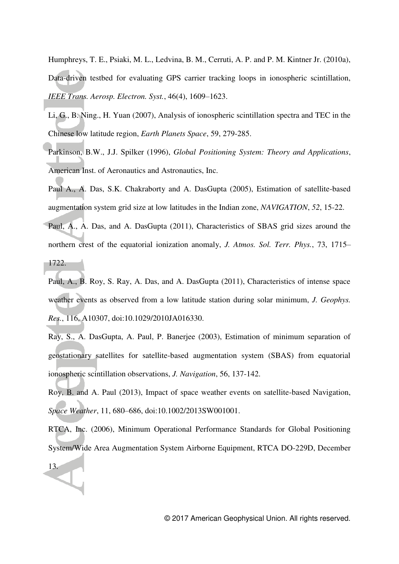Humphreys, T. E., Psiaki, M. L., Ledvina, B. M., Cerruti, A. P. and P. M. Kintner Jr. (2010a), Data-driven testbed for evaluating GPS carrier tracking loops in ionospheric scintillation, *IEEE Trans. Aerosp. Electron. Syst.*, 46(4), 1609–1623.

- Li, G., B. Ning., H. Yuan (2007), Analysis of ionospheric scintillation spectra and TEC in the Chinese low latitude region, *Earth Planets Space*, 59, 279-285.
- Parkinson, B.W., J.J. Spilker (1996), *Global Positioning System: Theory and Applications*, American Inst. of Aeronautics and Astronautics, Inc.
- Paul A., A. Das, S.K. Chakraborty and A. DasGupta (2005), Estimation of satellite-based augmentation system grid size at low latitudes in the Indian zone, *NAVIGATION*, *52*, 15-22.
- Paul, A., A. Das, and A. DasGupta (2011), Characteristics of SBAS grid sizes around the northern crest of the equatorial ionization anomaly, *J. Atmos. Sol. Terr. Phys.*, 73, 1715–

1722.

13.

- Paul, A., B. Roy, S. Ray, A. Das, and A. DasGupta (2011), Characteristics of intense space weather events as observed from a low latitude station during solar minimum, *J. Geophys. Res.*, 116, A10307, doi:10.1029/2010JA016330.
- Ray, S., A. DasGupta, A. Paul, P. Banerjee (2003), Estimation of minimum separation of geostationary satellites for satellite-based augmentation system (SBAS) from equatorial ionospheric scintillation observations, *J. Navigation*, 56, 137-142.

Roy, B. and A. Paul (2013), Impact of space weather events on satellite-based Navigation, *Space Weather*, 11, 680–686, doi:10.1002/2013SW001001.

RTCA, Inc. (2006), Minimum Operational Performance Standards for Global Positioning System/Wide Area Augmentation System Airborne Equipment, RTCA DO-229D, December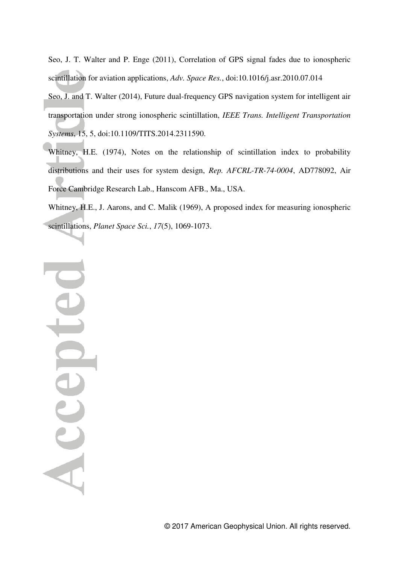Seo, J. T. Walter and P. Enge (2011), Correlation of GPS signal fades due to ionospheric scintillation for aviation applications, *Adv. Space Res.*, doi:10.1016/j.asr.2010.07.014

Seo, J. and T. Walter (2014), Future dual-frequency GPS navigation system for intelligent air transportation under strong ionospheric scintillation, *IEEE Trans. Intelligent Transportation Systems*, 15, 5, doi:10.1109/TITS.2014.2311590.

Whitney, H.E. (1974), Notes on the relationship of scintillation index to probability distributions and their uses for system design, *Rep. AFCRL-TR-74-0004*, AD778092, Air Force Cambridge Research Lab., Hanscom AFB., Ma., USA.

Whitney, H.E., J. Aarons, and C. Malik (1969), A proposed index for measuring ionospheric scintillations, *Planet Space Sci.*, *17*(5), 1069-1073.

Accepter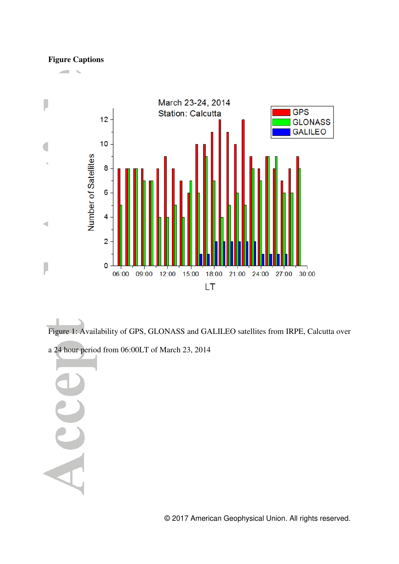## **Figure Captions**



ı Figure 1: Availability of GPS, GLONASS and GALILEO satellites from IRPE, Calcutta over

a 24 hour period from 06:00LT of March 23, 2014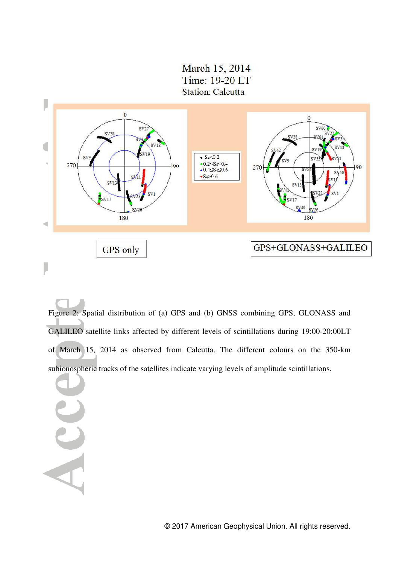March 15, 2014 Time: 19-20 LT **Station: Calcutta** 



Figure 2: Spatial distribution of (a) GPS and (b) GNSS combining GPS, GLONASS and GALILEO satellite links affected by different levels of scintillations during 19:00-20:00LT of March 15, 2014 as observed from Calcutta. The different colours on the 350-km subionospheric tracks of the satellites indicate varying levels of amplitude scintillations.

AC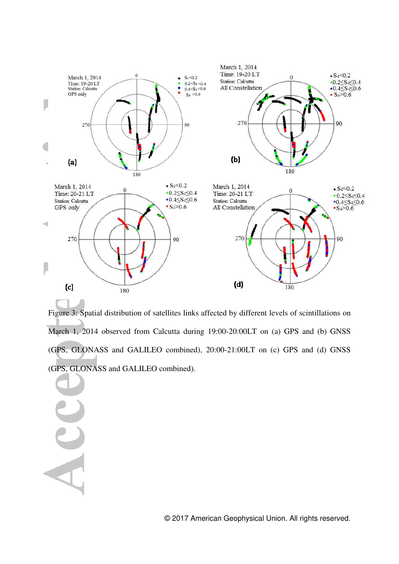

Figure 3: Spatial distribution of satellites links affected by different levels of scintillations on March 1, 2014 observed from Calcutta during 19:00-20:00LT on (a) GPS and (b) GNSS (GPS, GLONASS and GALILEO combined), 20:00-21:00LT on (c) GPS and (d) GNSS (GPS, GLONASS and GALILEO combined).

 $\overline{A}$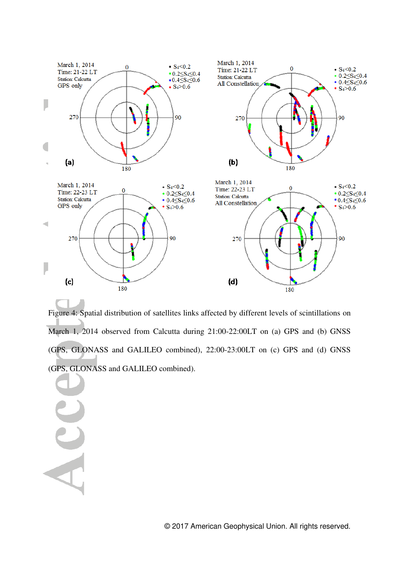

Figure 4: Spatial distribution of satellites links affected by different levels of scintillations on March 1, 2014 observed from Calcutta during 21:00-22:00LT on (a) GPS and (b) GNSS (GPS, GLONASS and GALILEO combined), 22:00-23:00LT on (c) GPS and (d) GNSS (GPS, GLONASS and GALILEO combined).

 $\overline{A}$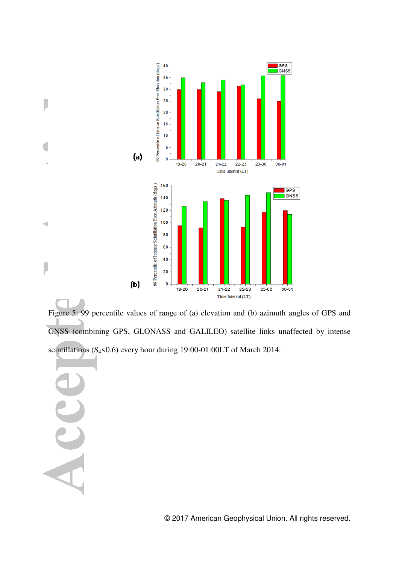

Figure 5: 99 percentile values of range of (a) elevation and (b) azimuth angles of GPS and GNSS (combining GPS, GLONASS and GALILEO) satellite links unaffected by intense scintillations (S<sub>4</sub><0.6) every hour during 19:00-01:00LT of March 2014.

J

 $\triangleleft$ 

J

© 2017 American Geophysical Union. All rights reserved.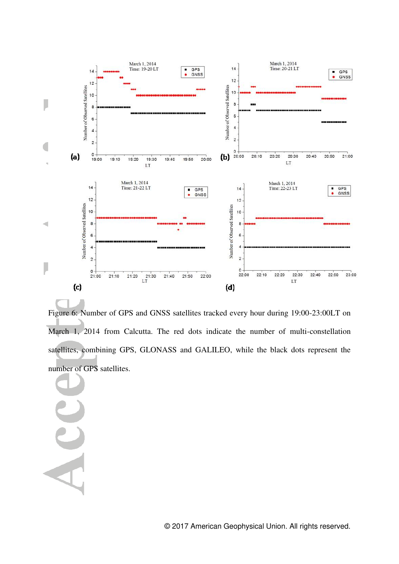

Figure 6: Number of GPS and GNSS satellites tracked every hour during 19:00-23:00LT on March 1, 2014 from Calcutta. The red dots indicate the number of multi-constellation satellites, combining GPS, GLONASS and GALILEO, while the black dots represent the number of GPS satellites.

A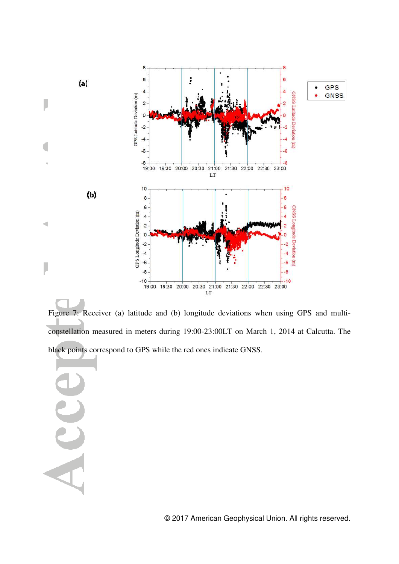

Figure 7: Receiver (a) latitude and (b) longitude deviations when using GPS and multiconstellation measured in meters during 19:00-23:00LT on March 1, 2014 at Calcutta. The black points correspond to GPS while the red ones indicate GNSS.

AC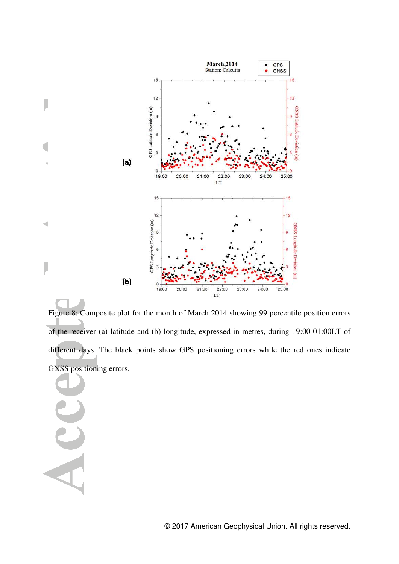

Figure 8: Composite plot for the month of March 2014 showing 99 percentile position errors of the receiver (a) latitude and (b) longitude, expressed in metres, during 19:00-01:00LT of different days. The black points show GPS positioning errors while the red ones indicate GNSS positioning errors.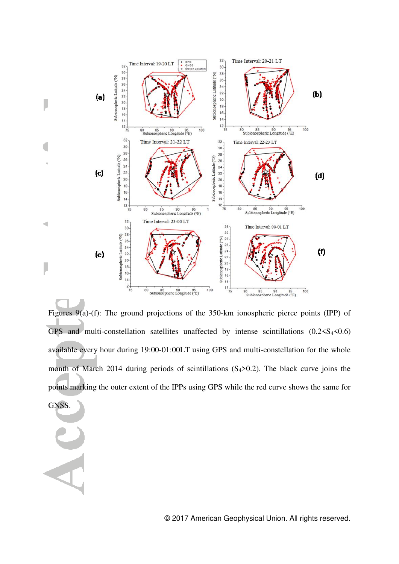

Figures 9(a)-(f): The ground projections of the 350-km ionospheric pierce points (IPP) of GPS and multi-constellation satellites unaffected by intense scintillations  $(0.2 < S<sub>4</sub> < 0.6)$ available every hour during 19:00-01:00LT using GPS and multi-constellation for the whole month of March 2014 during periods of scintillations  $(S_4>0.2)$ . The black curve joins the points marking the outer extent of the IPPs using GPS while the red curve shows the same for GNSS.